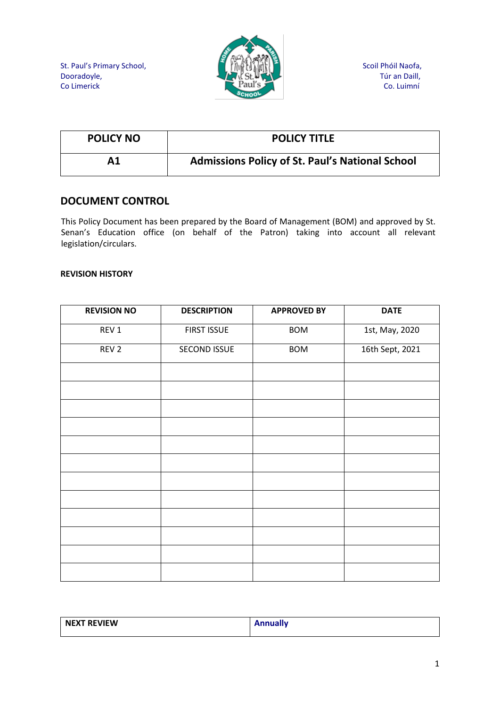

| <b>POLICY NO</b> | <b>POLICY TITLE</b>                                    |
|------------------|--------------------------------------------------------|
| Α1               | <b>Admissions Policy of St. Paul's National School</b> |

# **DOCUMENT CONTROL**

This Policy Document has been prepared by the Board of Management (BOM) and approved by St. Senan's Education office (on behalf of the Patron) taking into account all relevant legislation/circulars.

#### **REVISION HISTORY**

| <b>REVISION NO</b> | <b>DESCRIPTION</b> | <b>APPROVED BY</b> | <b>DATE</b>     |
|--------------------|--------------------|--------------------|-----------------|
| REV 1              | <b>FIRST ISSUE</b> | <b>BOM</b>         | 1st, May, 2020  |
| REV <sub>2</sub>   | SECOND ISSUE       | <b>BOM</b>         | 16th Sept, 2021 |
|                    |                    |                    |                 |
|                    |                    |                    |                 |
|                    |                    |                    |                 |
|                    |                    |                    |                 |
|                    |                    |                    |                 |
|                    |                    |                    |                 |
|                    |                    |                    |                 |
|                    |                    |                    |                 |
|                    |                    |                    |                 |
|                    |                    |                    |                 |
|                    |                    |                    |                 |
|                    |                    |                    |                 |

| NEXT REVIEW | <b>Annually</b> |
|-------------|-----------------|
|             |                 |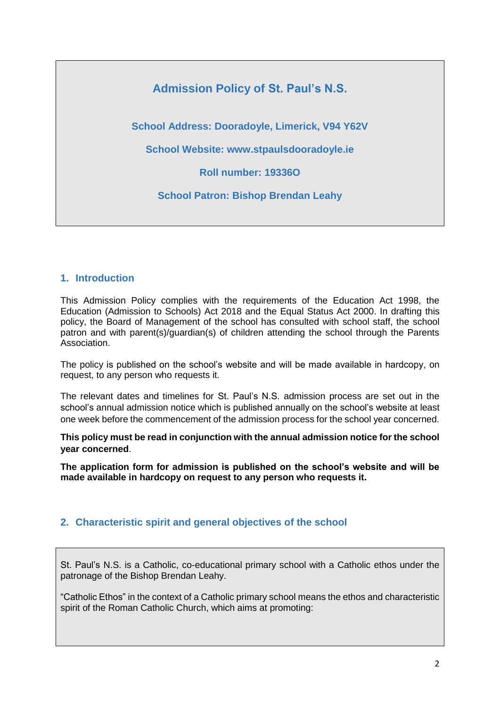# **Admission Policy of St. Paul's N.S.**

**School Address: Dooradoyle, Limerick, V94 Y62V**

**School Website: www.stpaulsdooradoyle.ie**

**Roll number: 19336O**

**School Patron: Bishop Brendan Leahy**

#### **1. Introduction**

This Admission Policy complies with the requirements of the Education Act 1998, the Education (Admission to Schools) Act 2018 and the Equal Status Act 2000. In drafting this policy, the Board of Management of the school has consulted with school staff, the school patron and with parent(s)/guardian(s) of children attending the school through the Parents Association.

The policy is published on the school's website and will be made available in hardcopy, on request, to any person who requests it.

The relevant dates and timelines for St. Paul's N.S. admission process are set out in the school's annual admission notice which is published annually on the school's website at least one week before the commencement of the admission process for the school year concerned.

**This policy must be read in conjunction with the annual admission notice for the school year concerned**.

**The application form for admission is published on the school's website and will be made available in hardcopy on request to any person who requests it.**

## **2. Characteristic spirit and general objectives of the school**

St. Paul's N.S. is a Catholic, co-educational primary school with a Catholic ethos under the patronage of the Bishop Brendan Leahy.

"Catholic Ethos" in the context of a Catholic primary school means the ethos and characteristic spirit of the Roman Catholic Church, which aims at promoting: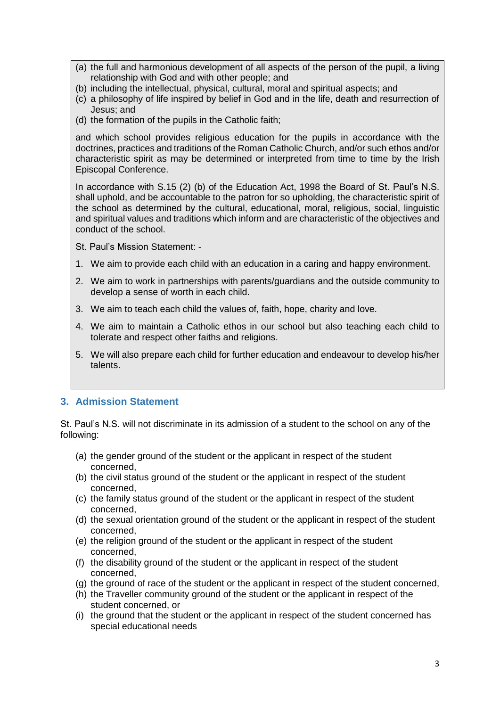- (a) the full and harmonious development of all aspects of the person of the pupil, a living relationship with God and with other people; and
- (b) including the intellectual, physical, cultural, moral and spiritual aspects; and
- (c) a philosophy of life inspired by belief in God and in the life, death and resurrection of Jesus; and
- (d) the formation of the pupils in the Catholic faith;

and which school provides religious education for the pupils in accordance with the doctrines, practices and traditions of the Roman Catholic Church, and/or such ethos and/or characteristic spirit as may be determined or interpreted from time to time by the Irish Episcopal Conference.

In accordance with S.15 (2) (b) of the Education Act, 1998 the Board of St. Paul's N.S. shall uphold, and be accountable to the patron for so upholding, the characteristic spirit of the school as determined by the cultural, educational, moral, religious, social, linguistic and spiritual values and traditions which inform and are characteristic of the objectives and conduct of the school.

St. Paul's Mission Statement: -

- 1. We aim to provide each child with an education in a caring and happy environment.
- 2. We aim to work in partnerships with parents/guardians and the outside community to develop a sense of worth in each child.
- 3. We aim to teach each child the values of, faith, hope, charity and love.
- 4. We aim to maintain a Catholic ethos in our school but also teaching each child to tolerate and respect other faiths and religions.
- 5. We will also prepare each child for further education and endeavour to develop his/her talents.

## **3. Admission Statement**

St. Paul's N.S. will not discriminate in its admission of a student to the school on any of the following:

- (a) the gender ground of the student or the applicant in respect of the student concerned,
- (b) the civil status ground of the student or the applicant in respect of the student concerned,
- (c) the family status ground of the student or the applicant in respect of the student concerned,
- (d) the sexual orientation ground of the student or the applicant in respect of the student concerned,
- (e) the religion ground of the student or the applicant in respect of the student concerned,
- (f) the disability ground of the student or the applicant in respect of the student concerned,
- (g) the ground of race of the student or the applicant in respect of the student concerned,
- (h) the Traveller community ground of the student or the applicant in respect of the student concerned, or
- (i) the ground that the student or the applicant in respect of the student concerned has special educational needs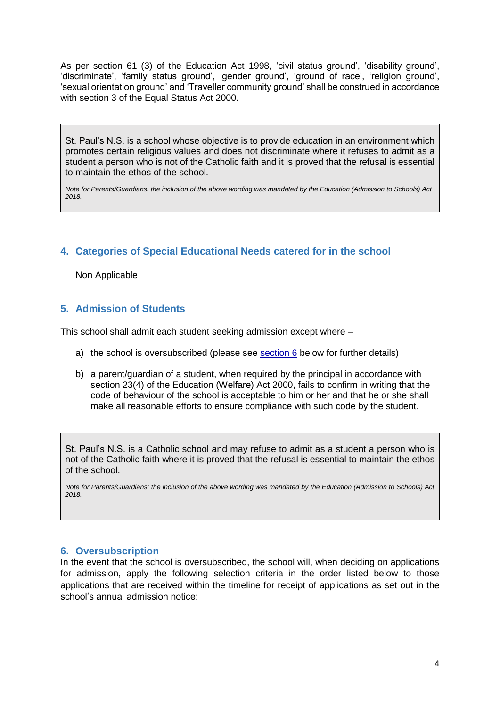As per section 61 (3) of the Education Act 1998, 'civil status ground', 'disability ground', 'discriminate', 'family status ground', 'gender ground', 'ground of race', 'religion ground', 'sexual orientation ground' and 'Traveller community ground' shall be construed in accordance with section 3 of the Equal Status Act 2000.

St. Paul's N.S. is a school whose objective is to provide education in an environment which promotes certain religious values and does not discriminate where it refuses to admit as a student a person who is not of the Catholic faith and it is proved that the refusal is essential to maintain the ethos of the school.

*Note for Parents/Guardians: the inclusion of the above wording was mandated by the Education (Admission to Schools) Act 2018.*

# **4. Categories of Special Educational Needs catered for in the school**

Non Applicable

## **5. Admission of Students**

This school shall admit each student seeking admission except where –

- a) the school is oversubscribed (please see section  $6$  below for further details)
- b) a parent/guardian of a student, when required by the principal in accordance with section 23(4) of the Education (Welfare) Act 2000, fails to confirm in writing that the code of behaviour of the school is acceptable to him or her and that he or she shall make all reasonable efforts to ensure compliance with such code by the student.

St. Paul's N.S. is a Catholic school and may refuse to admit as a student a person who is not of the Catholic faith where it is proved that the refusal is essential to maintain the ethos of the school.

*Note for Parents/Guardians: the inclusion of the above wording was mandated by the Education (Admission to Schools) Act 2018.*

## <span id="page-3-0"></span>**6. Oversubscription**

In the event that the school is oversubscribed, the school will, when deciding on applications for admission, apply the following selection criteria in the order listed below to those applications that are received within the timeline for receipt of applications as set out in the school's annual admission notice: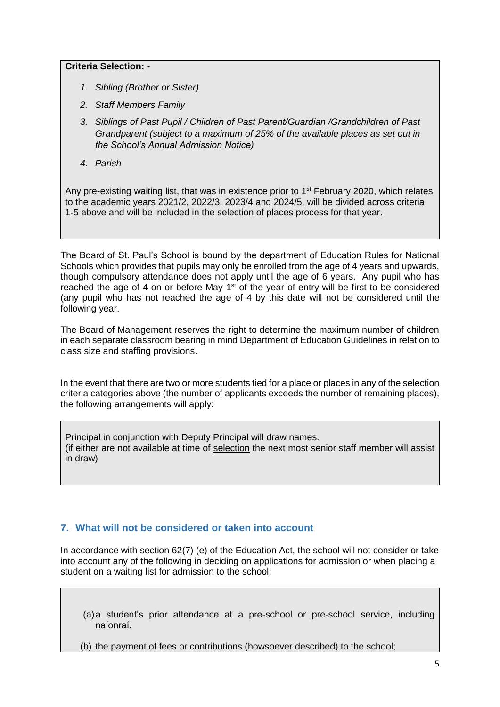#### **Criteria Selection: -**

- *1. Sibling (Brother or Sister)*
- *2. Staff Members Family*
- *3. Siblings of Past Pupil / Children of Past Parent/Guardian /Grandchildren of Past Grandparent (subject to a maximum of 25% of the available places as set out in the School's Annual Admission Notice)*
- *4. Parish*

Any pre-existing waiting list, that was in existence prior to 1<sup>st</sup> February 2020, which relates to the academic years 2021/2, 2022/3, 2023/4 and 2024/5, will be divided across criteria 1-5 above and will be included in the selection of places process for that year.

The Board of St. Paul's School is bound by the department of Education Rules for National Schools which provides that pupils may only be enrolled from the age of 4 years and upwards, though compulsory attendance does not apply until the age of 6 years. Any pupil who has reached the age of 4 on or before May 1<sup>st</sup> of the year of entry will be first to be considered (any pupil who has not reached the age of 4 by this date will not be considered until the following year.

The Board of Management reserves the right to determine the maximum number of children in each separate classroom bearing in mind Department of Education Guidelines in relation to class size and staffing provisions.

In the event that there are two or more students tied for a place or places in any of the selection criteria categories above (the number of applicants exceeds the number of remaining places), the following arrangements will apply:

Principal in conjunction with Deputy Principal will draw names. (if either are not available at time of selection the next most senior staff member will assist in draw)

## **7. What will not be considered or taken into account**

In accordance with section 62(7) (e) of the Education Act, the school will not consider or take into account any of the following in deciding on applications for admission or when placing a student on a waiting list for admission to the school:

(a)a student's prior attendance at a pre-school or pre-school service, including naíonraí.

(b) the payment of fees or contributions (howsoever described) to the school;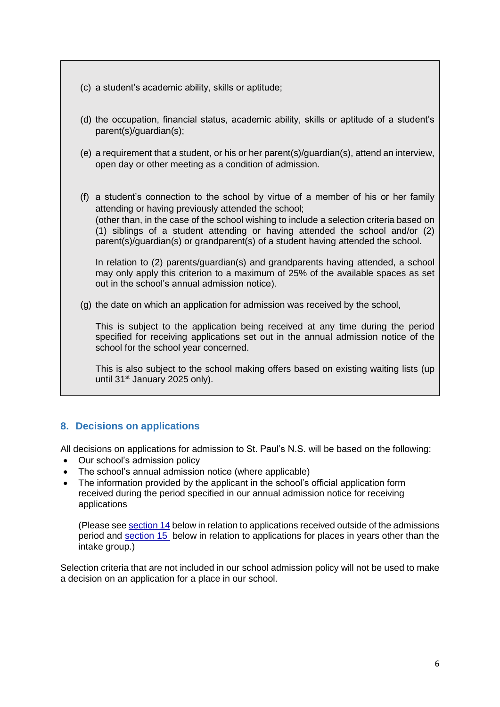- (c) a student's academic ability, skills or aptitude;
- (d) the occupation, financial status, academic ability, skills or aptitude of a student's parent(s)/guardian(s);
- (e) a requirement that a student, or his or her parent(s)/guardian(s), attend an interview, open day or other meeting as a condition of admission.

(f) a student's connection to the school by virtue of a member of his or her family attending or having previously attended the school; (other than, in the case of the school wishing to include a selection criteria based on (1) siblings of a student attending or having attended the school and/or (2) parent(s)/guardian(s) or grandparent(s) of a student having attended the school.

In relation to (2) parents/guardian(s) and grandparents having attended, a school may only apply this criterion to a maximum of 25% of the available spaces as set out in the school's annual admission notice).

(g) the date on which an application for admission was received by the school,

This is subject to the application being received at any time during the period specified for receiving applications set out in the annual admission notice of the school for the school year concerned.

This is also subject to the school making offers based on existing waiting lists (up until 31st January 2025 only).

## **8. Decisions on applications**

All decisions on applications for admission to St. Paul's N.S. will be based on the following:

- Our school's admission policy
- The school's annual admission notice (where applicable)
- The information provided by the applicant in the school's official application form received during the period specified in our annual admission notice for receiving applications

(Please see [section 14](#page-8-0) below in relation to applications received outside of the admissions period and [section 15](#page-8-1) below in relation to applications for places in years other than the intake group.)

Selection criteria that are not included in our school admission policy will not be used to make a decision on an application for a place in our school.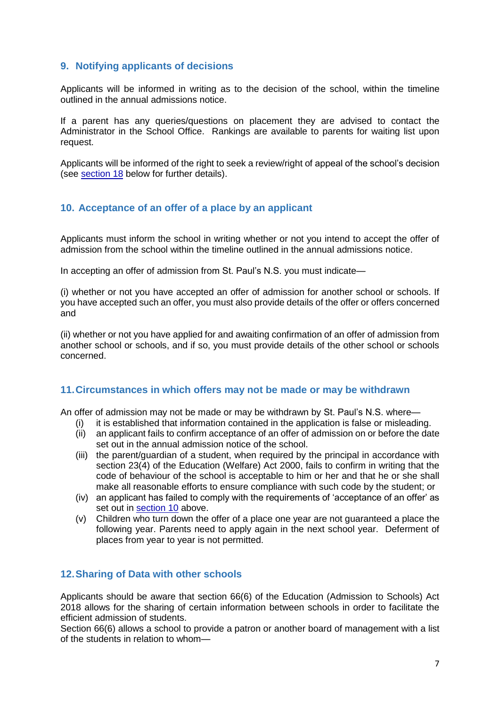# **9. Notifying applicants of decisions**

Applicants will be informed in writing as to the decision of the school, within the timeline outlined in the annual admissions notice.

If a parent has any queries/questions on placement they are advised to contact the Administrator in the School Office. Rankings are available to parents for waiting list upon request.

Applicants will be informed of the right to seek a review/right of appeal of the school's decision (see [section 18](#page-9-0) below for further details).

## <span id="page-6-0"></span>**10. Acceptance of an offer of a place by an applicant**

Applicants must inform the school in writing whether or not you intend to accept the offer of admission from the school within the timeline outlined in the annual admissions notice.

In accepting an offer of admission from St. Paul's N.S. you must indicate—

(i) whether or not you have accepted an offer of admission for another school or schools. If you have accepted such an offer, you must also provide details of the offer or offers concerned and

(ii) whether or not you have applied for and awaiting confirmation of an offer of admission from another school or schools, and if so, you must provide details of the other school or schools concerned.

## **11.Circumstances in which offers may not be made or may be withdrawn**

An offer of admission may not be made or may be withdrawn by St. Paul's N.S. where—

- (i) it is established that information contained in the application is false or misleading.
- (ii) an applicant fails to confirm acceptance of an offer of admission on or before the date set out in the annual admission notice of the school.
- (iii) the parent/guardian of a student, when required by the principal in accordance with section 23(4) of the Education (Welfare) Act 2000, fails to confirm in writing that the code of behaviour of the school is acceptable to him or her and that he or she shall make all reasonable efforts to ensure compliance with such code by the student; or
- (iv) an applicant has failed to comply with the requirements of 'acceptance of an offer' as set out in [section 10](#page-6-0) above.
- (v) Children who turn down the offer of a place one year are not guaranteed a place the following year. Parents need to apply again in the next school year. Deferment of places from year to year is not permitted.

## **12.Sharing of Data with other schools**

Applicants should be aware that section 66(6) of the Education (Admission to Schools) Act 2018 allows for the sharing of certain information between schools in order to facilitate the efficient admission of students.

Section 66(6) allows a school to provide a patron or another board of management with a list of the students in relation to whom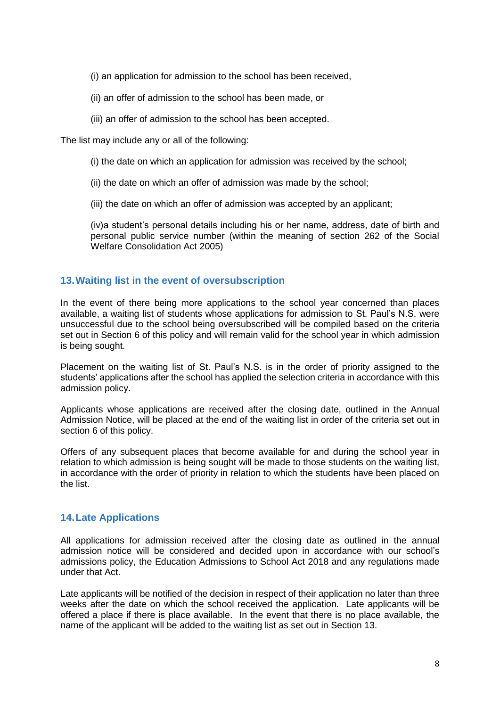(i) an application for admission to the school has been received,

- (ii) an offer of admission to the school has been made, or
- (iii) an offer of admission to the school has been accepted.

The list may include any or all of the following:

- (i) the date on which an application for admission was received by the school;
- (ii) the date on which an offer of admission was made by the school;
- (iii) the date on which an offer of admission was accepted by an applicant;

(iv)a student's personal details including his or her name, address, date of birth and personal public service number (within the meaning of section 262 of the Social Welfare Consolidation Act 2005)

#### **13.Waiting list in the event of oversubscription**

In the event of there being more applications to the school year concerned than places available, a waiting list of students whose applications for admission to St. Paul's N.S. were unsuccessful due to the school being oversubscribed will be compiled based on the criteria set out in Section 6 of this policy and will remain valid for the school year in which admission is being sought.

Placement on the waiting list of St. Paul's N.S. is in the order of priority assigned to the students' applications after the school has applied the selection criteria in accordance with this admission policy.

Applicants whose applications are received after the closing date, outlined in the Annual Admission Notice, will be placed at the end of the waiting list in order of the criteria set out in section 6 of this policy.

Offers of any subsequent places that become available for and during the school year in relation to which admission is being sought will be made to those students on the waiting list, in accordance with the order of priority in relation to which the students have been placed on the list.

#### **14.Late Applications**

All applications for admission received after the closing date as outlined in the annual admission notice will be considered and decided upon in accordance with our school's admissions policy, the Education Admissions to School Act 2018 and any regulations made under that Act.

Late applicants will be notified of the decision in respect of their application no later than three weeks after the date on which the school received the application. Late applicants will be offered a place if there is place available. In the event that there is no place available, the name of the applicant will be added to the waiting list as set out in Section 13.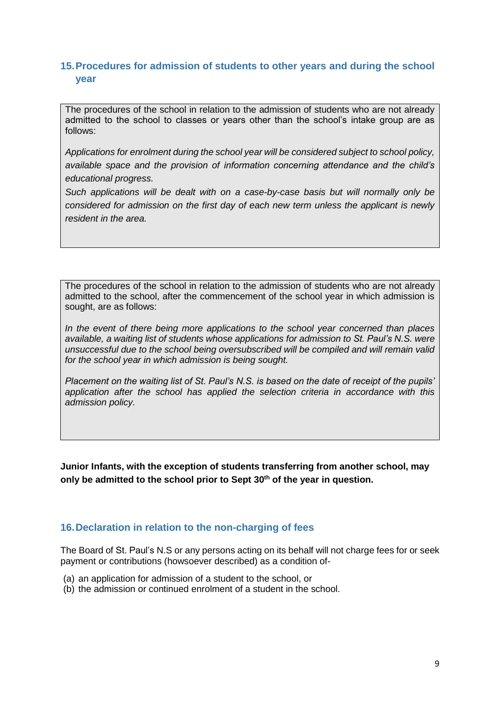# <span id="page-8-0"></span>**15.Procedures for admission of students to other years and during the school year**

The procedures of the school in relation to the admission of students who are not already admitted to the school to classes or years other than the school's intake group are as follows:

*Applications for enrolment during the school year will be considered subject to school policy, available space and the provision of information concerning attendance and the child's educational progress.*

*Such applications will be dealt with on a case-by-case basis but will normally only be considered for admission on the first day of each new term unless the applicant is newly resident in the area.*

The procedures of the school in relation to the admission of students who are not already admitted to the school, after the commencement of the school year in which admission is sought, are as follows:

*In the event of there being more applications to the school year concerned than places available, a waiting list of students whose applications for admission to St. Paul's N.S. were unsuccessful due to the school being oversubscribed will be compiled and will remain valid for the school year in which admission is being sought.*

*Placement on the waiting list of St. Paul's N.S. is based on the date of receipt of the pupils' application after the school has applied the selection criteria in accordance with this admission policy.* 

**Junior Infants, with the exception of students transferring from another school, may only be admitted to the school prior to Sept 30th of the year in question.**

## <span id="page-8-1"></span>**16.Declaration in relation to the non-charging of fees**

The Board of St. Paul's N.S or any persons acting on its behalf will not charge fees for or seek payment or contributions (howsoever described) as a condition of-

- (a) an application for admission of a student to the school, or
- (b) the admission or continued enrolment of a student in the school.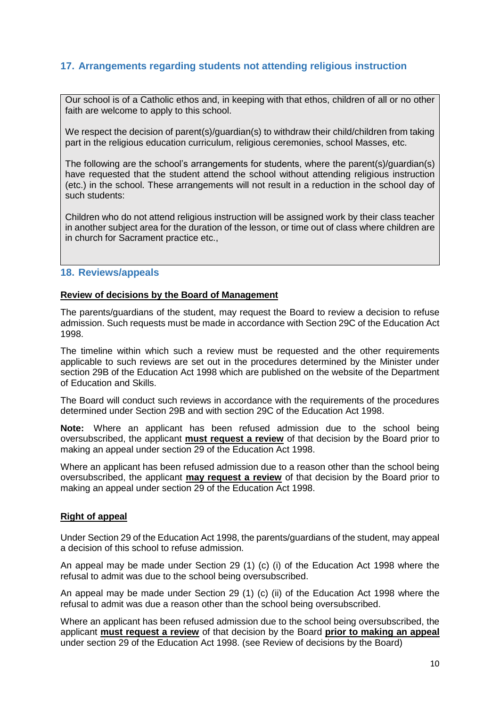# **17. Arrangements regarding students not attending religious instruction**

Our school is of a Catholic ethos and, in keeping with that ethos, children of all or no other faith are welcome to apply to this school.

We respect the decision of parent(s)/guardian(s) to withdraw their child/children from taking part in the religious education curriculum, religious ceremonies, school Masses, etc.

The following are the school's arrangements for students, where the parent(s)/guardian(s) have requested that the student attend the school without attending religious instruction (etc.) in the school. These arrangements will not result in a reduction in the school day of such students:

Children who do not attend religious instruction will be assigned work by their class teacher in another subject area for the duration of the lesson, or time out of class where children are in church for Sacrament practice etc.,

#### <span id="page-9-0"></span>**18. Reviews/appeals**

#### **Review of decisions by the Board of Management**

The parents/guardians of the student, may request the Board to review a decision to refuse admission. Such requests must be made in accordance with Section 29C of the Education Act 1998.

The timeline within which such a review must be requested and the other requirements applicable to such reviews are set out in the procedures determined by the Minister under section 29B of the Education Act 1998 which are published on the website of the Department of Education and Skills.

The Board will conduct such reviews in accordance with the requirements of the procedures determined under Section 29B and with section 29C of the Education Act 1998.

**Note:** Where an applicant has been refused admission due to the school being oversubscribed, the applicant **must request a review** of that decision by the Board prior to making an appeal under section 29 of the Education Act 1998.

Where an applicant has been refused admission due to a reason other than the school being oversubscribed, the applicant **may request a review** of that decision by the Board prior to making an appeal under section 29 of the Education Act 1998.

#### **Right of appeal**

Under Section 29 of the Education Act 1998, the parents/guardians of the student, may appeal a decision of this school to refuse admission.

An appeal may be made under Section 29 (1) (c) (i) of the Education Act 1998 where the refusal to admit was due to the school being oversubscribed.

An appeal may be made under Section 29 (1) (c) (ii) of the Education Act 1998 where the refusal to admit was due a reason other than the school being oversubscribed.

Where an applicant has been refused admission due to the school being oversubscribed, the applicant **must request a review** of that decision by the Board **prior to making an appeal** under section 29 of the Education Act 1998. (see Review of decisions by the Board)